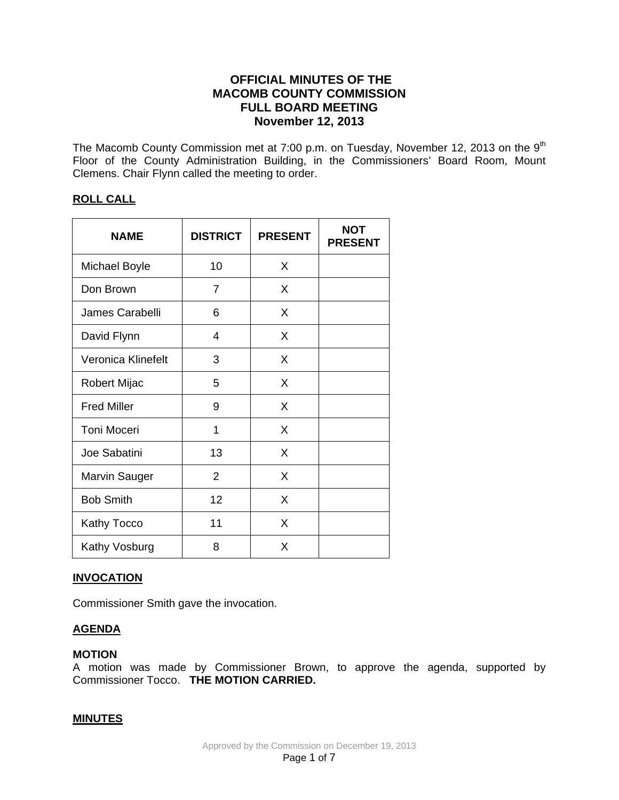# **OFFICIAL MINUTES OF THE MACOMB COUNTY COMMISSION FULL BOARD MEETING November 12, 2013**

The Macomb County Commission met at 7:00 p.m. on Tuesday, November 12, 2013 on the 9<sup>th</sup> Floor of the County Administration Building, in the Commissioners' Board Room, Mount Clemens. Chair Flynn called the meeting to order.

## **ROLL CALL**

| <b>NAME</b>          | <b>DISTRICT</b> | <b>PRESENT</b> | <b>NOT</b><br><b>PRESENT</b> |
|----------------------|-----------------|----------------|------------------------------|
| Michael Boyle        | 10              | X              |                              |
| Don Brown            | 7               | X              |                              |
| James Carabelli      | 6               | X              |                              |
| David Flynn          | 4               | X              |                              |
| Veronica Klinefelt   | 3               | X              |                              |
| Robert Mijac         | 5               | X              |                              |
| <b>Fred Miller</b>   | 9               | X              |                              |
| Toni Moceri          | 1               | X              |                              |
| Joe Sabatini         | 13              | X              |                              |
| <b>Marvin Sauger</b> | 2               | X              |                              |
| <b>Bob Smith</b>     | 12              | X              |                              |
| Kathy Tocco          | 11              | X              |                              |
| Kathy Vosburg        | 8               | X              |                              |

## **INVOCATION**

Commissioner Smith gave the invocation.

## **AGENDA**

## **MOTION**

A motion was made by Commissioner Brown, to approve the agenda, supported by Commissioner Tocco. **THE MOTION CARRIED.**

## **MINUTES**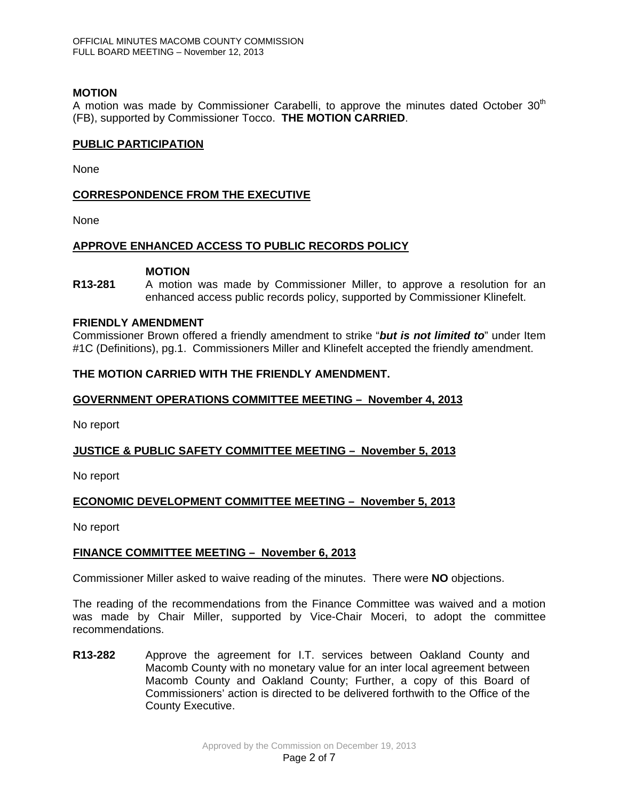## **MOTION**

A motion was made by Commissioner Carabelli, to approve the minutes dated October 30<sup>th</sup> (FB), supported by Commissioner Tocco. **THE MOTION CARRIED**.

## **PUBLIC PARTICIPATION**

None

## **CORRESPONDENCE FROM THE EXECUTIVE**

None

## **APPROVE ENHANCED ACCESS TO PUBLIC RECORDS POLICY**

## **MOTION**

**R13-281** A motion was made by Commissioner Miller, to approve a resolution for an enhanced access public records policy, supported by Commissioner Klinefelt.

#### **FRIENDLY AMENDMENT**

Commissioner Brown offered a friendly amendment to strike "*but is not limited to*" under Item #1C (Definitions), pg.1. Commissioners Miller and Klinefelt accepted the friendly amendment.

## **THE MOTION CARRIED WITH THE FRIENDLY AMENDMENT.**

## **GOVERNMENT OPERATIONS COMMITTEE MEETING – November 4, 2013**

No report

## **JUSTICE & PUBLIC SAFETY COMMITTEE MEETING – November 5, 2013**

No report

## **ECONOMIC DEVELOPMENT COMMITTEE MEETING – November 5, 2013**

No report

## **FINANCE COMMITTEE MEETING – November 6, 2013**

Commissioner Miller asked to waive reading of the minutes. There were **NO** objections.

The reading of the recommendations from the Finance Committee was waived and a motion was made by Chair Miller, supported by Vice-Chair Moceri, to adopt the committee recommendations.

**R13-282** Approve the agreement for I.T. services between Oakland County and Macomb County with no monetary value for an inter local agreement between Macomb County and Oakland County; Further, a copy of this Board of Commissioners' action is directed to be delivered forthwith to the Office of the County Executive.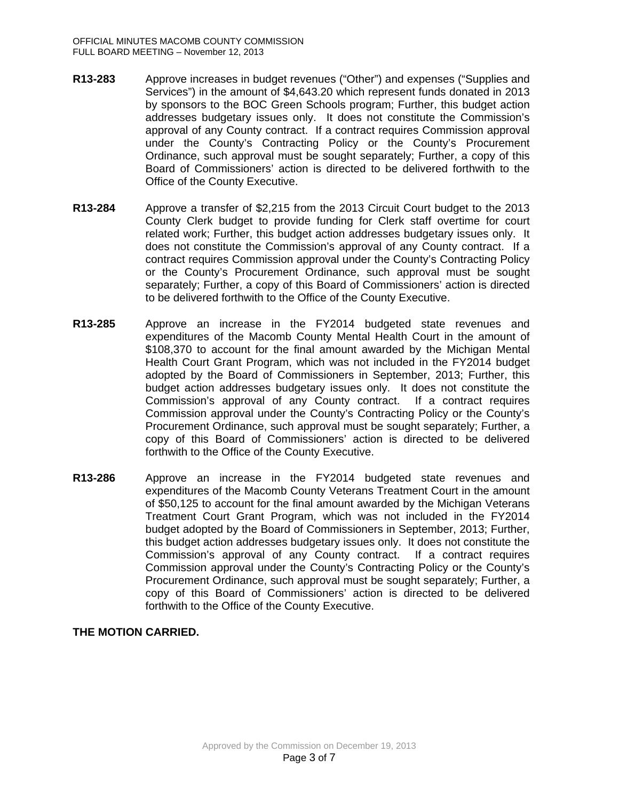- **R13-283** Approve increases in budget revenues ("Other") and expenses ("Supplies and Services") in the amount of \$4,643.20 which represent funds donated in 2013 by sponsors to the BOC Green Schools program; Further, this budget action addresses budgetary issues only. It does not constitute the Commission's approval of any County contract. If a contract requires Commission approval under the County's Contracting Policy or the County's Procurement Ordinance, such approval must be sought separately; Further, a copy of this Board of Commissioners' action is directed to be delivered forthwith to the Office of the County Executive.
- **R13-284** Approve a transfer of \$2,215 from the 2013 Circuit Court budget to the 2013 County Clerk budget to provide funding for Clerk staff overtime for court related work; Further, this budget action addresses budgetary issues only. It does not constitute the Commission's approval of any County contract. If a contract requires Commission approval under the County's Contracting Policy or the County's Procurement Ordinance, such approval must be sought separately; Further, a copy of this Board of Commissioners' action is directed to be delivered forthwith to the Office of the County Executive.
- **R13-285** Approve an increase in the FY2014 budgeted state revenues and expenditures of the Macomb County Mental Health Court in the amount of \$108,370 to account for the final amount awarded by the Michigan Mental Health Court Grant Program, which was not included in the FY2014 budget adopted by the Board of Commissioners in September, 2013; Further, this budget action addresses budgetary issues only. It does not constitute the Commission's approval of any County contract. If a contract requires Commission approval under the County's Contracting Policy or the County's Procurement Ordinance, such approval must be sought separately; Further, a copy of this Board of Commissioners' action is directed to be delivered forthwith to the Office of the County Executive.
- **R13-286** Approve an increase in the FY2014 budgeted state revenues and expenditures of the Macomb County Veterans Treatment Court in the amount of \$50,125 to account for the final amount awarded by the Michigan Veterans Treatment Court Grant Program, which was not included in the FY2014 budget adopted by the Board of Commissioners in September, 2013; Further, this budget action addresses budgetary issues only. It does not constitute the Commission's approval of any County contract. If a contract requires Commission approval under the County's Contracting Policy or the County's Procurement Ordinance, such approval must be sought separately; Further, a copy of this Board of Commissioners' action is directed to be delivered forthwith to the Office of the County Executive.

## **THE MOTION CARRIED.**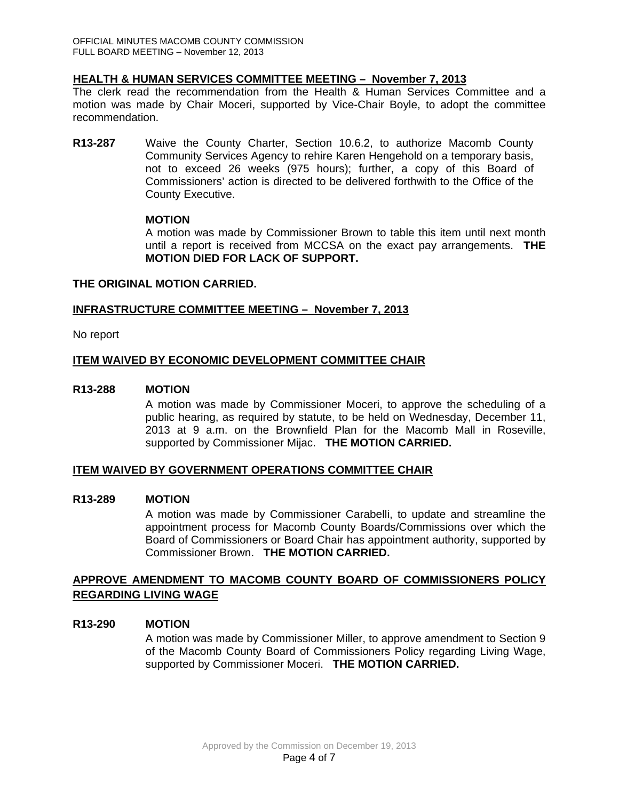# **HEALTH & HUMAN SERVICES COMMITTEE MEETING – November 7, 2013**

The clerk read the recommendation from the Health & Human Services Committee and a motion was made by Chair Moceri, supported by Vice-Chair Boyle, to adopt the committee recommendation.

**R13-287** Waive the County Charter, Section 10.6.2, to authorize Macomb County Community Services Agency to rehire Karen Hengehold on a temporary basis, not to exceed 26 weeks (975 hours); further, a copy of this Board of Commissioners' action is directed to be delivered forthwith to the Office of the County Executive.

## **MOTION**

A motion was made by Commissioner Brown to table this item until next month until a report is received from MCCSA on the exact pay arrangements. **THE MOTION DIED FOR LACK OF SUPPORT.** 

## **THE ORIGINAL MOTION CARRIED.**

## **INFRASTRUCTURE COMMITTEE MEETING – November 7, 2013**

No report

## **ITEM WAIVED BY ECONOMIC DEVELOPMENT COMMITTEE CHAIR**

## **R13-288 MOTION**

A motion was made by Commissioner Moceri, to approve the scheduling of a public hearing, as required by statute, to be held on Wednesday, December 11, 2013 at 9 a.m. on the Brownfield Plan for the Macomb Mall in Roseville, supported by Commissioner Mijac. **THE MOTION CARRIED.** 

## **ITEM WAIVED BY GOVERNMENT OPERATIONS COMMITTEE CHAIR**

## **R13-289 MOTION**

A motion was made by Commissioner Carabelli, to update and streamline the appointment process for Macomb County Boards/Commissions over which the Board of Commissioners or Board Chair has appointment authority, supported by Commissioner Brown. **THE MOTION CARRIED.** 

## **APPROVE AMENDMENT TO MACOMB COUNTY BOARD OF COMMISSIONERS POLICY REGARDING LIVING WAGE**

## **R13-290 MOTION**

A motion was made by Commissioner Miller, to approve amendment to Section 9 of the Macomb County Board of Commissioners Policy regarding Living Wage, supported by Commissioner Moceri. **THE MOTION CARRIED.**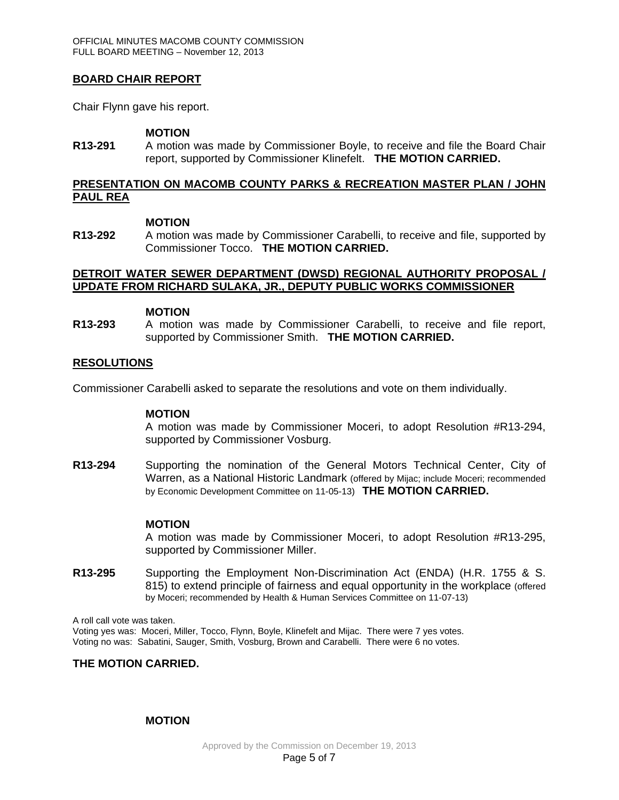## **BOARD CHAIR REPORT**

Chair Flynn gave his report.

#### **MOTION**

**R13-291** A motion was made by Commissioner Boyle, to receive and file the Board Chair report, supported by Commissioner Klinefelt. **THE MOTION CARRIED.**

#### **PRESENTATION ON MACOMB COUNTY PARKS & RECREATION MASTER PLAN / JOHN PAUL REA**

#### **MOTION**

**R13-292** A motion was made by Commissioner Carabelli, to receive and file, supported by Commissioner Tocco. **THE MOTION CARRIED.**

## **DETROIT WATER SEWER DEPARTMENT (DWSD) REGIONAL AUTHORITY PROPOSAL / UPDATE FROM RICHARD SULAKA, JR., DEPUTY PUBLIC WORKS COMMISSIONER**

#### **MOTION**

**R13-293** A motion was made by Commissioner Carabelli, to receive and file report, supported by Commissioner Smith. **THE MOTION CARRIED.**

## **RESOLUTIONS**

Commissioner Carabelli asked to separate the resolutions and vote on them individually.

#### **MOTION**

A motion was made by Commissioner Moceri, to adopt Resolution #R13-294, supported by Commissioner Vosburg.

**R13-294** Supporting the nomination of the General Motors Technical Center, City of Warren, as a National Historic Landmark (offered by Mijac; include Moceri; recommended by Economic Development Committee on 11-05-13) **THE MOTION CARRIED.** 

## **MOTION**

A motion was made by Commissioner Moceri, to adopt Resolution #R13-295, supported by Commissioner Miller.

**R13-295** Supporting the Employment Non-Discrimination Act (ENDA) (H.R. 1755 & S. 815) to extend principle of fairness and equal opportunity in the workplace (offered by Moceri; recommended by Health & Human Services Committee on 11-07-13)

A roll call vote was taken. Voting yes was: Moceri, Miller, Tocco, Flynn, Boyle, Klinefelt and Mijac. There were 7 yes votes. Voting no was: Sabatini, Sauger, Smith, Vosburg, Brown and Carabelli. There were 6 no votes.

## **THE MOTION CARRIED.**

## **MOTION**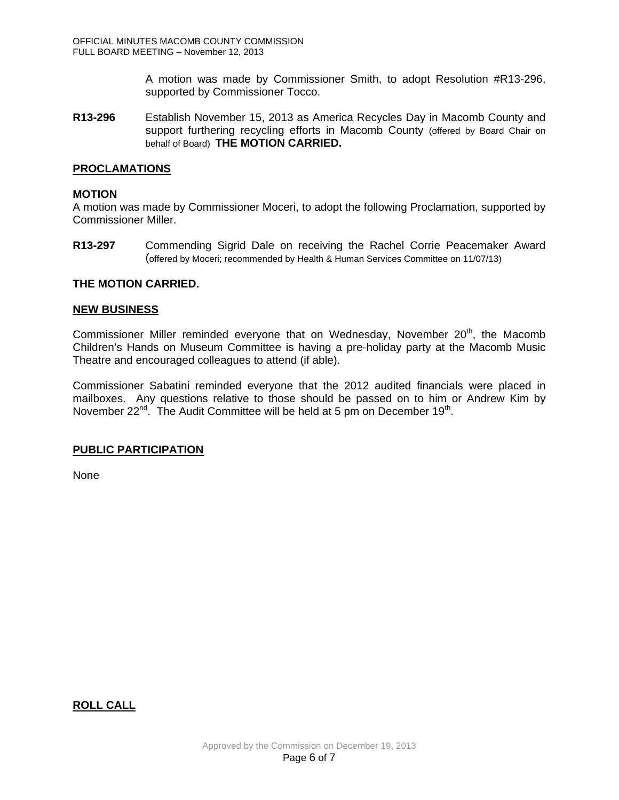A motion was made by Commissioner Smith, to adopt Resolution #R13-296, supported by Commissioner Tocco.

**R13-296** Establish November 15, 2013 as America Recycles Day in Macomb County and support furthering recycling efforts in Macomb County (offered by Board Chair on behalf of Board) **THE MOTION CARRIED.** 

## **PROCLAMATIONS**

## **MOTION**

A motion was made by Commissioner Moceri, to adopt the following Proclamation, supported by Commissioner Miller.

**R13-297** Commending Sigrid Dale on receiving the Rachel Corrie Peacemaker Award (offered by Moceri; recommended by Health & Human Services Committee on 11/07/13)

## **THE MOTION CARRIED.**

#### **NEW BUSINESS**

Commissioner Miller reminded everyone that on Wednesday, November  $20<sup>th</sup>$ , the Macomb Children's Hands on Museum Committee is having a pre-holiday party at the Macomb Music Theatre and encouraged colleagues to attend (if able).

Commissioner Sabatini reminded everyone that the 2012 audited financials were placed in mailboxes. Any questions relative to those should be passed on to him or Andrew Kim by November  $22^{nd}$ . The Audit Committee will be held at 5 pm on December 19<sup>th</sup>.

## **PUBLIC PARTICIPATION**

None

## **ROLL CALL**